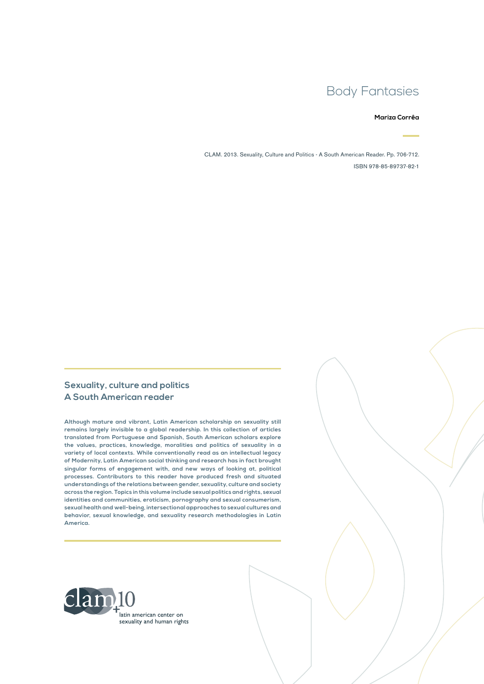# Body Fantasies

#### **Mariza Corrêa**

CLAM. 2013. Sexuality, Culture and Politics - A South American Reader. Pp. 706-712. ISBN 978-85-89737-82-1

#### **Sexuality, culture and politics A South American reader**

**Although mature and vibrant, Latin American scholarship on sexuality still remains largely invisible to a global readership. In this collection of articles translated from Portuguese and Spanish, South American scholars explore the values, practices, knowledge, moralities and politics of sexuality in a variety of local contexts. While conventionally read as an intellectual legacy of Modernity, Latin American social thinking and research has in fact brought singular forms of engagement with, and new ways of looking at, political processes. Contributors to this reader have produced fresh and situated understandings of the relations between gender, sexuality, culture and society across the region. Topics in this volume include sexual politics and rights, sexual identities and communities, eroticism, pornography and sexual consumerism, sexual health and well-being, intersectional approaches to sexual cultures and behavior, sexual knowledge, and sexuality research methodologies in Latin America.**

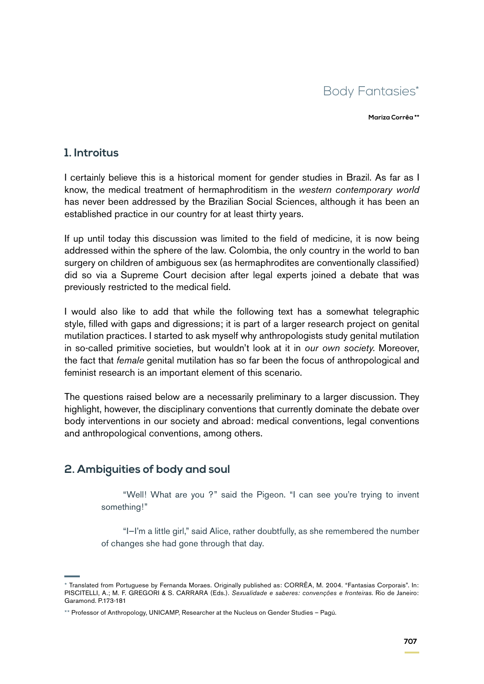

**Mariza Corrêa \*\***

#### **1. Introitus**

I certainly believe this is a historical moment for gender studies in Brazil. As far as I know, the medical treatment of hermaphroditism in the *western contemporary world* has never been addressed by the Brazilian Social Sciences, although it has been an established practice in our country for at least thirty years.

If up until today this discussion was limited to the field of medicine, it is now being addressed within the sphere of the law. Colombia, the only country in the world to ban surgery on children of ambiguous sex (as hermaphrodites are conventionally classified) did so via a Supreme Court decision after legal experts joined a debate that was previously restricted to the medical field.

I would also like to add that while the following text has a somewhat telegraphic style, filled with gaps and digressions; it is part of a larger research project on genital mutilation practices. I started to ask myself why anthropologists study genital mutilation in so-called primitive societies, but wouldn't look at it in *our own society*. Moreover, the fact that *female* genital mutilation has so far been the focus of anthropological and feminist research is an important element of this scenario.

The questions raised below are a necessarily preliminary to a larger discussion. They highlight, however, the disciplinary conventions that currently dominate the debate over body interventions in our society and abroad: medical conventions, legal conventions and anthropological conventions, among others.

## **2. Ambiguities of body and soul**

"Well! What are you ?" said the Pigeon. "I can see you're trying to invent something!"

"I—I'm a little girl," said Alice, rather doubtfully, as she remembered the number of changes she had gone through that day.

<sup>\*</sup> Translated from Portuguese by Fernanda Moraes. Originally published as: CORRÊA, M. 2004. "Fantasias Corporais". In: PISCITELLI, A.; M. F. GREGORI & S. CARRARA (Eds.). *Sexualidade e saberes: convenções e fronteiras*. Rio de Janeiro: Garamond. P.173-181

<sup>\*\*</sup> Professor of Anthropology, UNICAMP, Researcher at the Nucleus on Gender Studies – Pagú.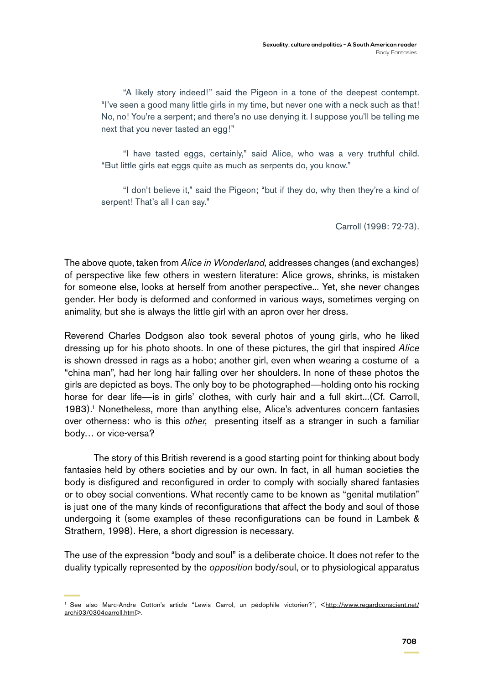"A likely story indeed!" said the Pigeon in a tone of the deepest contempt. "I've seen a good many little girls in my time, but never one with a neck such as that! No, no! You're a serpent; and there's no use denying it. I suppose you'll be telling me next that you never tasted an egg!"

"I have tasted eggs, certainly," said Alice, who was a very truthful child. "But little girls eat eggs quite as much as serpents do, you know."

"I don't believe it," said the Pigeon; "but if they do, why then they're a kind of serpent! That's all I can say."

Carroll (1998: 72-73).

The above quote, taken from *Alice in Wonderland,* addresses changes (and exchanges) of perspective like few others in western literature: Alice grows, shrinks, is mistaken for someone else, looks at herself from another perspective... Yet, she never changes gender. Her body is deformed and conformed in various ways, sometimes verging on animality, but she is always the little girl with an apron over her dress.

Reverend Charles Dodgson also took several photos of young girls, who he liked dressing up for his photo shoots. In one of these pictures, the girl that inspired *Alice* is shown dressed in rags as a hobo; another girl, even when wearing a costume of a "china man", had her long hair falling over her shoulders. In none of these photos the girls are depicted as boys. The only boy to be photographed—holding onto his rocking horse for dear life—is in girls' clothes, with curly hair and a full skirt...(Cf. Carroll, 1983).1 Nonetheless, more than anything else, Alice's adventures concern fantasies over otherness: who is this *other*, presenting itself as a stranger in such a familiar body… or vice-versa?

The story of this British reverend is a good starting point for thinking about body fantasies held by others societies and by our own. In fact, in all human societies the body is disfigured and reconfigured in order to comply with socially shared fantasies or to obey social conventions. What recently came to be known as "genital mutilation" is just one of the many kinds of reconfigurations that affect the body and soul of those undergoing it (some examples of these reconfigurations can be found in Lambek & Strathern, 1998). Here, a short digression is necessary.

The use of the expression "body and soul" is a deliberate choice. It does not refer to the duality typically represented by the *opposition* body/soul, or to physiological apparatus

<sup>&</sup>lt;sup>1</sup> See also Marc-Andre Cotton's article "Lewis Carrol, un pédophile victorien?", [<http://www.regardconscient.net/](http://www.regardconscient.net/archi03/0304carroll.html) [archi03/0304carroll.html>](http://www.regardconscient.net/archi03/0304carroll.html).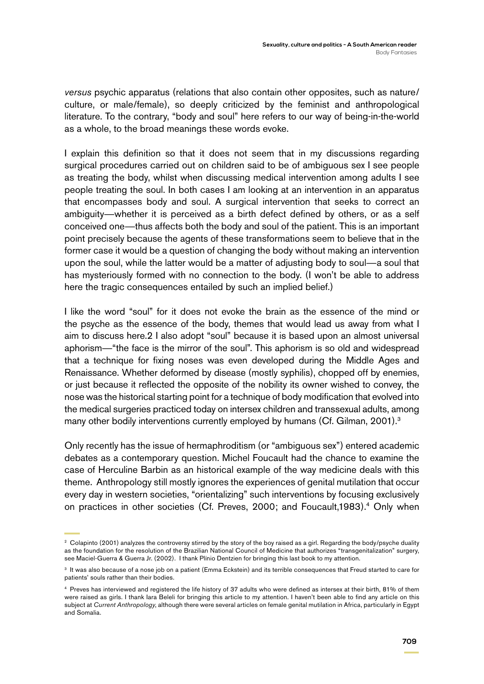*versus* psychic apparatus (relations that also contain other opposites, such as nature/ culture, or male/female), so deeply criticized by the feminist and anthropological literature. To the contrary, "body and soul" here refers to our way of being-in-the-world as a whole, to the broad meanings these words evoke.

I explain this definition so that it does not seem that in my discussions regarding surgical procedures carried out on children said to be of ambiguous sex I see people as treating the body, whilst when discussing medical intervention among adults I see people treating the soul. In both cases I am looking at an intervention in an apparatus that encompasses body and soul. A surgical intervention that seeks to correct an ambiguity—whether it is perceived as a birth defect defined by others, or as a self conceived one—thus affects both the body and soul of the patient. This is an important point precisely because the agents of these transformations seem to believe that in the former case it would be a question of changing the body without making an intervention upon the soul, while the latter would be a matter of adjusting body to soul—a soul that has mysteriously formed with no connection to the body. (I won't be able to address here the tragic consequences entailed by such an implied belief.)

I like the word "soul" for it does not evoke the brain as the essence of the mind or the psyche as the essence of the body, themes that would lead us away from what I aim to discuss here.2 I also adopt "soul" because it is based upon an almost universal aphorism—"the face is the mirror of the soul". This aphorism is so old and widespread that a technique for fixing noses was even developed during the Middle Ages and Renaissance. Whether deformed by disease (mostly syphilis), chopped off by enemies, or just because it reflected the opposite of the nobility its owner wished to convey, the nose was the historical starting point for a technique of body modification that evolved into the medical surgeries practiced today on intersex children and transsexual adults, among many other bodily interventions currently employed by humans (Cf. Gilman, 2001).<sup>3</sup>

Only recently has the issue of hermaphroditism (or "ambiguous sex") entered academic debates as a contemporary question. Michel Foucault had the chance to examine the case of Herculine Barbin as an historical example of the way medicine deals with this theme. Anthropology still mostly ignores the experiences of genital mutilation that occur every day in western societies, "orientalizing" such interventions by focusing exclusively on practices in other societies (Cf. Preves, 2000; and Foucault,1983).4 Only when

<sup>&</sup>lt;sup>2</sup> Colapinto (2001) analyzes the controversy stirred by the story of the boy raised as a girl. Regarding the body/psyche duality as the foundation for the resolution of the Brazilian National Council of Medicine that authorizes "transgenitalization" surgery, see Maciel-Guerra & Guerra Jr. (2002). I thank Plínio Dentzien for bringing this last book to my attention.

<sup>&</sup>lt;sup>3</sup> It was also because of a nose job on a patient (Emma Eckstein) and its terrible consequences that Freud started to care for patients' souls rather than their bodies.

<sup>4</sup> Preves has interviewed and registered the life history of 37 adults who were defined as intersex at their birth, 81% of them were raised as girls. I thank Iara Beleli for bringing this article to my attention. I haven't been able to find any article on this subject at *Current Anthropology*, although there were several articles on female genital mutilation in Africa, particularly in Egypt and Somalia.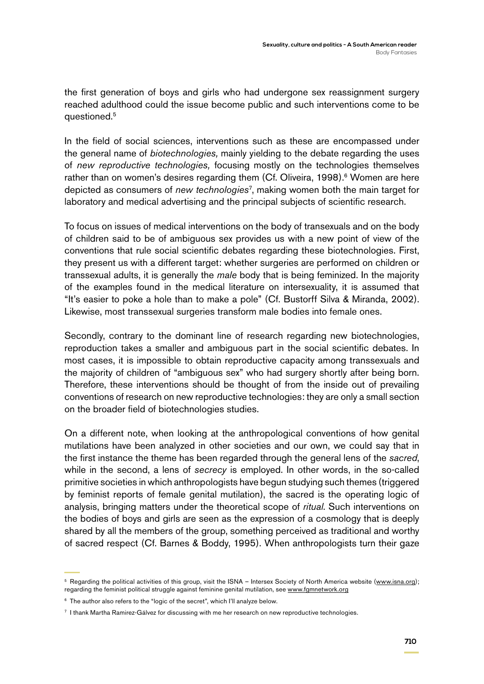the first generation of boys and girls who had undergone sex reassignment surgery reached adulthood could the issue become public and such interventions come to be questioned.5

In the field of social sciences, interventions such as these are encompassed under the general name of *biotechnologies,* mainly yielding to the debate regarding the uses of *new reproductive technologies,* focusing mostly on the technologies themselves rather than on women's desires regarding them (Cf. Oliveira, 1998).<sup>6</sup> Women are here depicted as consumers of *new technologies*<sup>7</sup> , making women both the main target for laboratory and medical advertising and the principal subjects of scientific research.

To focus on issues of medical interventions on the body of transexuals and on the body of children said to be of ambiguous sex provides us with a new point of view of the conventions that rule social scientific debates regarding these biotechnologies. First, they present us with a different target: whether surgeries are performed on children or transsexual adults, it is generally the *male* body that is being feminized. In the majority of the examples found in the medical literature on intersexuality, it is assumed that "It's easier to poke a hole than to make a pole" (Cf. Bustorff Silva & Miranda, 2002). Likewise, most transsexual surgeries transform male bodies into female ones.

Secondly, contrary to the dominant line of research regarding new biotechnologies, reproduction takes a smaller and ambiguous part in the social scientific debates. In most cases, it is impossible to obtain reproductive capacity among transsexuals and the majority of children of "ambiguous sex" who had surgery shortly after being born. Therefore, these interventions should be thought of from the inside out of prevailing conventions of research on new reproductive technologies: they are only a small section on the broader field of biotechnologies studies.

On a different note, when looking at the anthropological conventions of how genital mutilations have been analyzed in other societies and our own, we could say that in the first instance the theme has been regarded through the general lens of the *sacred*, while in the second, a lens of *secrecy* is employed. In other words, in the so-called primitive societies in which anthropologists have begun studying such themes (triggered by feminist reports of female genital mutilation), the sacred is the operating logic of analysis, bringing matters under the theoretical scope of *ritual*. Such interventions on the bodies of boys and girls are seen as the expression of a cosmology that is deeply shared by all the members of the group, something perceived as traditional and worthy of sacred respect (Cf. Barnes & Boddy, 1995). When anthropologists turn their gaze

<sup>&</sup>lt;sup>5</sup> Regarding the political activities of this group, visit the ISNA – Intersex Society of North America website ([www.isna.org](http://www.isna.org/)); regarding the feminist political struggle against feminine genital mutilation, see [www.fgmnetwork.org](http://www.fgmnetwork.org/)

<sup>&</sup>lt;sup>6</sup> The author also refers to the "logic of the secret", which I'll analyze below.

<sup>7</sup> I thank Martha Ramirez-Gálvez for discussing with me her research on new reproductive technologies.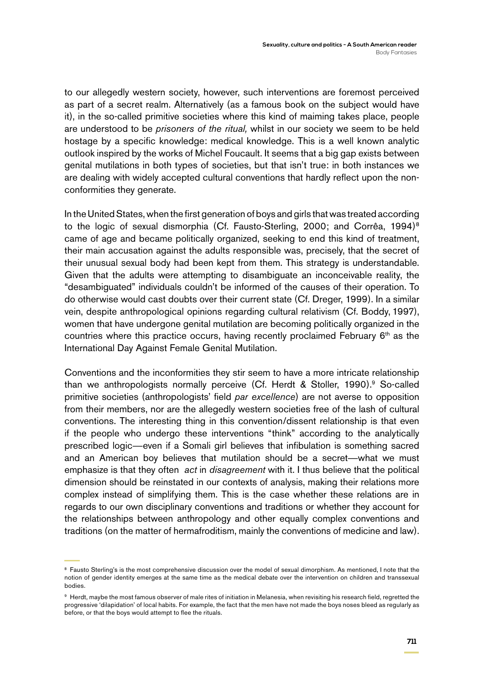to our allegedly western society, however, such interventions are foremost perceived as part of a secret realm. Alternatively (as a famous book on the subject would have it), in the so-called primitive societies where this kind of maiming takes place, people are understood to be *prisoners of the ritual,* whilst in our society we seem to be held hostage by a specific knowledge: medical knowledge. This is a well known analytic outlook inspired by the works of Michel Foucault. It seems that a big gap exists between genital mutilations in both types of societies, but that isn't true: in both instances we are dealing with widely accepted cultural conventions that hardly reflect upon the nonconformities they generate.

In the United States, when the first generation of boys and girls that was treated according to the logic of sexual dismorphia (Cf. Fausto-Sterling, 2000; and Corrêa, 1994)<sup>8</sup> came of age and became politically organized, seeking to end this kind of treatment, their main accusation against the adults responsible was, precisely, that the secret of their unusual sexual body had been kept from them. This strategy is understandable. Given that the adults were attempting to disambiguate an inconceivable reality, the "desambiguated" individuals couldn't be informed of the causes of their operation. To do otherwise would cast doubts over their current state (Cf. Dreger, 1999). In a similar vein, despite anthropological opinions regarding cultural relativism (Cf. Boddy, 1997), women that have undergone genital mutilation are becoming politically organized in the countries where this practice occurs, having recently proclaimed February 6<sup>th</sup> as the International Day Against Female Genital Mutilation.

Conventions and the inconformities they stir seem to have a more intricate relationship than we anthropologists normally perceive (Cf. Herdt & Stoller, 1990).<sup>9</sup> So-called primitive societies (anthropologists' field *par excellence*) are not averse to opposition from their members, nor are the allegedly western societies free of the lash of cultural conventions. The interesting thing in this convention/dissent relationship is that even if the people who undergo these interventions "think" according to the analytically prescribed logic—even if a Somali girl believes that infibulation is something sacred and an American boy believes that mutilation should be a secret—what we must emphasize is that they often *act* in *disagreement* with it. I thus believe that the political dimension should be reinstated in our contexts of analysis, making their relations more complex instead of simplifying them. This is the case whether these relations are in regards to our own disciplinary conventions and traditions or whether they account for the relationships between anthropology and other equally complex conventions and traditions (on the matter of hermafroditism, mainly the conventions of medicine and law).

<sup>&</sup>lt;sup>8</sup> Fausto Sterling's is the most comprehensive discussion over the model of sexual dimorphism. As mentioned, I note that the notion of gender identity emerges at the same time as the medical debate over the intervention on children and transsexual bodies.

<sup>9</sup> Herdt, maybe the most famous observer of male rites of initiation in Melanesia, when revisiting his research field, regretted the progressive 'dilapidation' of local habits. For example, the fact that the men have not made the boys noses bleed as regularly as before, or that the boys would attempt to flee the rituals.